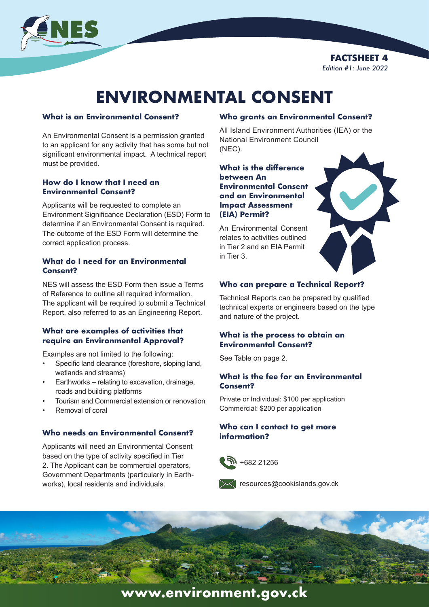

**FACTSHEET 4** *Edition #1: June 2022*

# **ENVIRONMENTAL CONSENT**

#### **What is an Environmental Consent?**

An Environmental Consent is a permission granted to an applicant for any activity that has some but not significant environmental impact. A technical report must be provided.

### **How do I know that I need an Environmental Consent?**

Applicants will be requested to complete an Environment Significance Declaration (ESD) Form to determine if an Environmental Consent is required. The outcome of the ESD Form will determine the correct application process.

#### **What do I need for an Environmental Consent?**

NES will assess the ESD Form then issue a Terms of Reference to outline all required information. The applicant will be required to submit a Technical Report, also referred to as an Engineering Report.

### **What are examples of activities that require an Environmental Approval?**

Examples are not limited to the following:

- Specific land clearance (foreshore, sloping land, wetlands and streams)
- Earthworks relating to excavation, drainage, roads and building platforms
- Tourism and Commercial extension or renovation
- Removal of coral

### **Who needs an Environmental Consent?**

Applicants will need an Environmental Consent based on the type of activity specified in Tier 2. The Applicant can be commercial operators, Government Departments (particularly in Earthworks), local residents and individuals.

### **Who grants an Environmental Consent?**

All Island Environment Authorities (IEA) or the National Environment Council (NEC).

**What is the difference between An Environmental Consent and an Environmental Impact Assessment (EIA) Permit?**

An Environmental Consent relates to activities outlined in Tier 2 and an EIA Permit in Tier 3.

### **Who can prepare a Technical Report?**

Technical Reports can be prepared by qualified technical experts or engineers based on the type and nature of the project.

### **What is the process to obtain an Environmental Consent?**

See Table on page 2.

### **What is the fee for an Environmental Consent?**

Private or Individual: \$100 per application Commercial: \$200 per application

### **Who can I contact to get more information?**





resources@cookislands.gov.ck



## **www.environment.gov.ck**